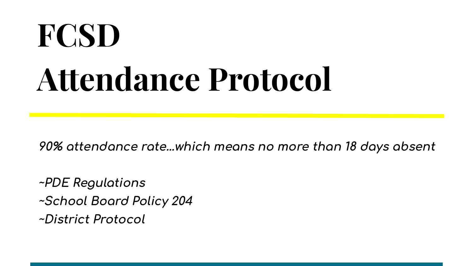# **FCSD Attendance Protocol**

**90% attendance rate…which means no more than 18 days absent**

**~PDE ReĀulations**

**~School Board Policy 204**

**~District Protocol**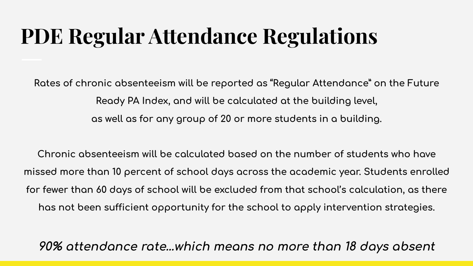#### **PDE Regular Attendance Regulations**

Rates of chronic absenteeism will be reported as "Regular Attendance" on the Future Ready PA Index, and will be calculated at the building level, as well as for any group of 20 or more students in a building.

Chronic absenteeism will be calculated based on the number of students who have missed more than 10 percent of school days across the academic year. Students enrolled for fewer than 60 days of school will be excluded from that school's calculation, as there has not been sufficient opportunity for the school to apply intervention strategies.

90% attendance rate...which means no more than 18 days absent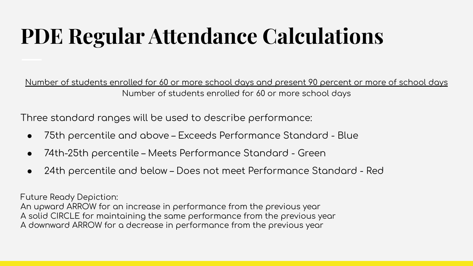### **PDE Regular Attendance Calculations**

Number of students enrolled for 60 or more school days and present 90 percent or more of school days Number of students enrolled for 60 or more school days

Three standard ranges will be used to describe performance:

- 75th percentile and above Exceeds Performance Standard Blue  $\bullet$
- 74th-25th percentile Meets Performance Standard Green
- 24th percentile and below Does not meet Performance Standard Red  $\bullet$

**Future Ready Depiction:** 

An upward ARROW for an increase in performance from the previous year A solid CIRCLE for maintaining the same performance from the previous year A downward ARROW for a decrease in performance from the previous year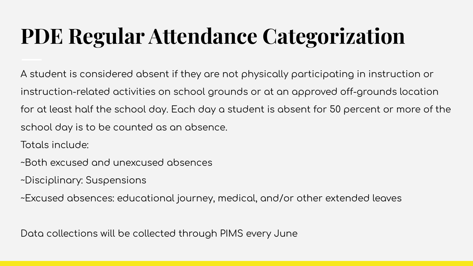## **PDE Regular Attendance Categorization**

A student is considered absent if they are not physically participating in instruction or instruction-related activities on school grounds or at an approved off-grounds location for at least half the school day. Each day a student is absent for 50 percent or more of the school day is to be counted as an absence.

Totals include:

- ~Both excused and unexcused absences
- ~Disciplinary: Suspensions
- ~Excused absences: educational journey, medical, and/or other extended leaves

Data collections will be collected through PIMS every June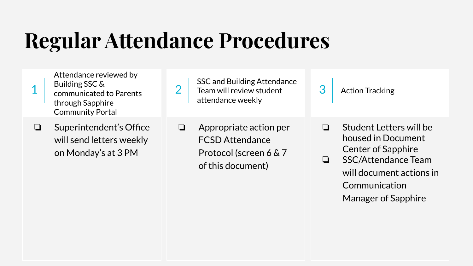### **Regular Attendance Procedures**

2

Attendance reviewed by Building SSC & communicated to Parents through Sapphire Community Portal

1

- SSC and Building Attendance Team will review student attendance weekly
- 3 Action Tracking

- ❏ Superintendent's Office will send letters weekly on Monday's at 3 PM
- ❏ Appropriate action per FCSD Attendance Protocol (screen 6 & 7 of this document)
- ❏ Student Letters will be housed in Document Center of Sapphire
- ❏ SSC/Attendance Team will document actions in Communication Manager of Sapphire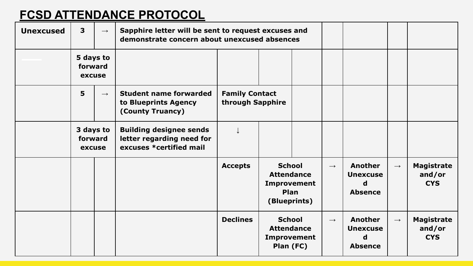#### **FCSD ATTENDANCE PROTOCOL**

| <b>Unexcused</b> | $\overline{\mathbf{3}}$        | $\longrightarrow$ | Sapphire letter will be sent to request excuses and<br>demonstrate concern about unexcused absences |                                           |                                                                           |  |                   |                                                   |                   |                                           |
|------------------|--------------------------------|-------------------|-----------------------------------------------------------------------------------------------------|-------------------------------------------|---------------------------------------------------------------------------|--|-------------------|---------------------------------------------------|-------------------|-------------------------------------------|
|                  | 5 days to<br>forward<br>excuse |                   |                                                                                                     |                                           |                                                                           |  |                   |                                                   |                   |                                           |
|                  | 5                              | $\rightarrow$     | <b>Student name forwarded</b><br>to Blueprints Agency<br>(County Truancy)                           | <b>Family Contact</b><br>through Sapphire |                                                                           |  |                   |                                                   |                   |                                           |
|                  | 3 days to<br>forward<br>excuse |                   | <b>Building designee sends</b><br>letter regarding need for<br>excuses *certified mail              |                                           |                                                                           |  |                   |                                                   |                   |                                           |
|                  |                                |                   |                                                                                                     | <b>Accepts</b>                            | <b>School</b><br><b>Attendance</b><br>Improvement<br>Plan<br>(Blueprints) |  | $\rightarrow$     | Another<br><b>Unexcuse</b><br>d<br><b>Absence</b> | $\longrightarrow$ | <b>Magistrate</b><br>and/or<br><b>CYS</b> |
|                  |                                |                   |                                                                                                     | <b>Declines</b>                           | <b>School</b><br><b>Attendance</b><br>Improvement<br>Plan (FC)            |  | $\longrightarrow$ | Another<br><b>Unexcuse</b><br>d<br><b>Absence</b> | $\longrightarrow$ | <b>Magistrate</b><br>and/or<br><b>CYS</b> |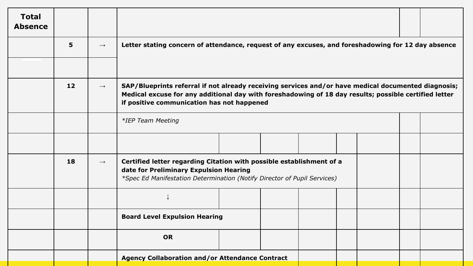| <b>Total</b><br><b>Absence</b> |    |                   |                                                                                                                                                                                                                                                            |  |  |  |  |  |
|--------------------------------|----|-------------------|------------------------------------------------------------------------------------------------------------------------------------------------------------------------------------------------------------------------------------------------------------|--|--|--|--|--|
|                                | 5  | $\rightarrow$     | Letter stating concern of attendance, request of any excuses, and foreshadowing for 12 day absence                                                                                                                                                         |  |  |  |  |  |
|                                |    |                   |                                                                                                                                                                                                                                                            |  |  |  |  |  |
|                                | 12 | $\longrightarrow$ | SAP/Blueprints referral if not already receiving services and/or have medical documented diagnosis;<br>Medical excuse for any additional day with foreshadowing of 18 day results; possible certified letter<br>if positive communication has not happened |  |  |  |  |  |
|                                |    |                   | *IEP Team Meeting                                                                                                                                                                                                                                          |  |  |  |  |  |
|                                |    |                   |                                                                                                                                                                                                                                                            |  |  |  |  |  |
|                                | 18 | $\rightarrow$     | Certified letter regarding Citation with possible establishment of a<br>date for Preliminary Expulsion Hearing<br>*Spec Ed Manifestation Determination (Notify Director of Pupil Services)                                                                 |  |  |  |  |  |
|                                |    |                   |                                                                                                                                                                                                                                                            |  |  |  |  |  |
|                                |    |                   | <b>Board Level Expulsion Hearing</b>                                                                                                                                                                                                                       |  |  |  |  |  |
|                                |    |                   | <b>OR</b>                                                                                                                                                                                                                                                  |  |  |  |  |  |
|                                |    |                   | <b>Agency Collaboration and/or Attendance Contract</b>                                                                                                                                                                                                     |  |  |  |  |  |